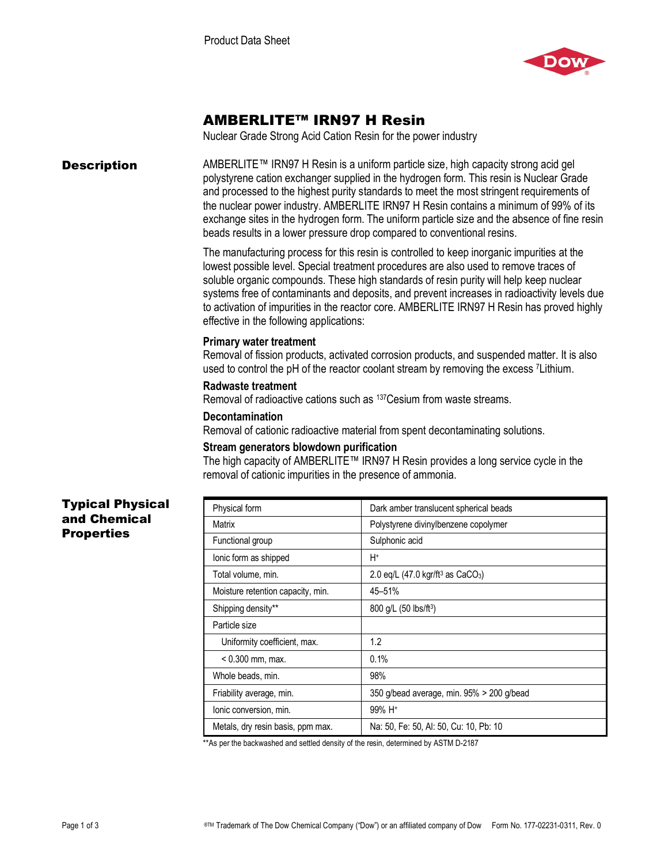

# AMBERLITE™ IRN97 H Resin

Nuclear Grade Strong Acid Cation Resin for the power industry

**Description** AMBERLITE™ IRN97 H Resin is a uniform particle size, high capacity strong acid gel polystyrene cation exchanger supplied in the hydrogen form. This resin is Nuclear Grade and processed to the highest purity standards to meet the most stringent requirements of the nuclear power industry. AMBERLITE IRN97 H Resin contains a minimum of 99% of its exchange sites in the hydrogen form. The uniform particle size and the absence of fine resin beads results in a lower pressure drop compared to conventional resins.

> The manufacturing process for this resin is controlled to keep inorganic impurities at the lowest possible level. Special treatment procedures are also used to remove traces of soluble organic compounds. These high standards of resin purity will help keep nuclear systems free of contaminants and deposits, and prevent increases in radioactivity levels due to activation of impurities in the reactor core. AMBERLITE IRN97 H Resin has proved highly effective in the following applications:

## **Primary water treatment**

Removal of fission products, activated corrosion products, and suspended matter. It is also used to control the pH of the reactor coolant stream by removing the excess 7Lithium.

## **Radwaste treatment**

Removal of radioactive cations such as 137Cesium from waste streams.

#### **Decontamination**

Removal of cationic radioactive material from spent decontaminating solutions.

# **Stream generators blowdown purification**

The high capacity of AMBERLITE™ IRN97 H Resin provides a long service cycle in the removal of cationic impurities in the presence of ammonia.

# Typical Physical and Chemical **Properties**

| Physical form                     | Dark amber translucent spherical beads                             |
|-----------------------------------|--------------------------------------------------------------------|
| Matrix                            | Polystyrene divinylbenzene copolymer                               |
| Functional group                  | Sulphonic acid                                                     |
| lonic form as shipped             | H+                                                                 |
| Total volume, min.                | 2.0 eq/L $(47.0 \text{ kg}/\text{ft}^3 \text{ as } \text{CaCO}_3)$ |
| Moisture retention capacity, min. | 45-51%                                                             |
| Shipping density**                | 800 q/L (50 lbs/ft <sup>3</sup> )                                  |
| Particle size                     |                                                                    |
| Uniformity coefficient, max.      | 1.2                                                                |
| $< 0.300$ mm, max.                | 0.1%                                                               |
| Whole beads, min.                 | 98%                                                                |
| Friability average, min.          | 350 g/bead average, min. 95% > 200 g/bead                          |
| Ionic conversion, min.            | 99% H <sup>+</sup>                                                 |
| Metals, dry resin basis, ppm max. | Na: 50, Fe: 50, AI: 50, Cu: 10, Pb: 10                             |

\*\*As per the backwashed and settled density of the resin, determined by ASTM D-2187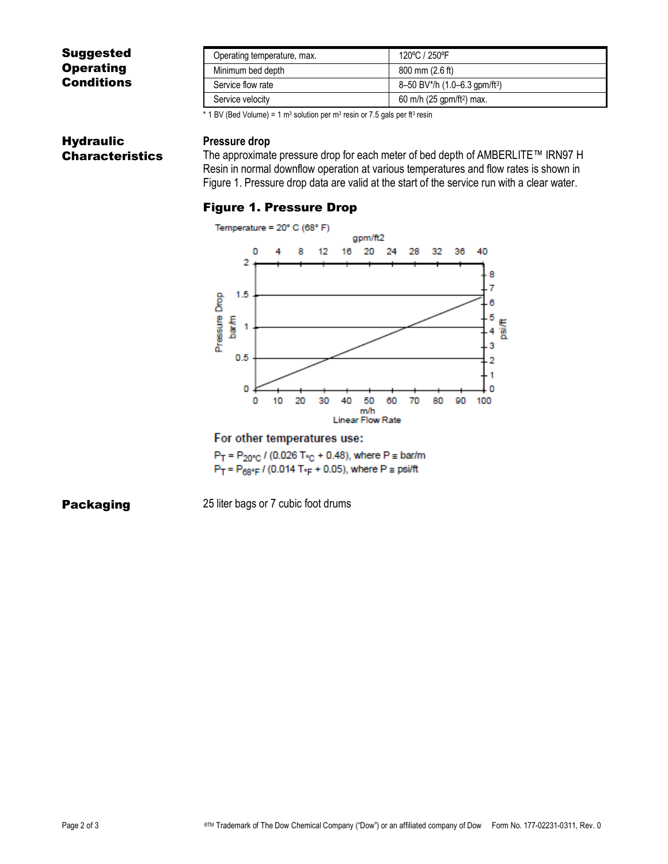# Suggested **Operating Conditions**

| Operating temperature, max. | 120°C / 250°F                             |
|-----------------------------|-------------------------------------------|
| Minimum bed depth           | $800 \text{ mm}$ (2.6 ft)                 |
| Service flow rate           | 8-50 BV*/h (1.0-6.3 gpm/ft <sup>3</sup> ) |
| Service velocity            | 60 m/h (25 gpm/ft <sup>2</sup> ) max.     |

\* 1 BV (Bed Volume) = 1  $m<sup>3</sup>$  solution per  $m<sup>3</sup>$  resin or 7.5 gals per ft<sup>3</sup> resin

# **Hydraulic** Characteristics

## **Pressure drop**

The approximate pressure drop for each meter of bed depth of AMBERLITE™ IRN97 H Resin in normal downflow operation at various temperatures and flow rates is shown in Figure 1. Pressure drop data are valid at the start of the service run with a clear water.

# Figure 1. Pressure Drop



### For other temperatures use:

 $P_T = P_{20^{\circ}C}$  / (0.026 T<sub>°C</sub> + 0.48), where  $P \equiv$  bar/m  $P_T = P_{68} \cdot_F / (0.014 T \cdot_F + 0.05)$ , where  $P = \text{psift}$ 

**Packaging** 25 liter bags or 7 cubic foot drums